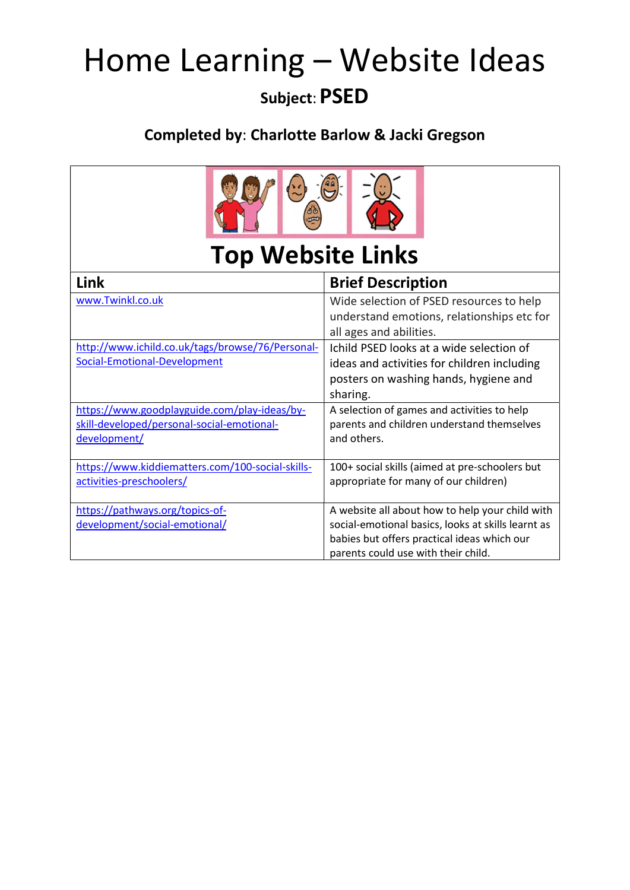## Home Learning – Website Ideas

### Subject: PSED

#### Completed by: Charlotte Barlow & Jacki Gregson

| <b>Top Website Links</b>                                                                                   |                                                                                                                                                                                             |
|------------------------------------------------------------------------------------------------------------|---------------------------------------------------------------------------------------------------------------------------------------------------------------------------------------------|
| Link                                                                                                       | <b>Brief Description</b>                                                                                                                                                                    |
| www.Twinkl.co.uk                                                                                           | Wide selection of PSED resources to help<br>understand emotions, relationships etc for<br>all ages and abilities.                                                                           |
| http://www.ichild.co.uk/tags/browse/76/Personal-<br>Social-Emotional-Development                           | Ichild PSED looks at a wide selection of<br>ideas and activities for children including<br>posters on washing hands, hygiene and<br>sharing.                                                |
| https://www.goodplayguide.com/play-ideas/by-<br>skill-developed/personal-social-emotional-<br>development/ | A selection of games and activities to help<br>parents and children understand themselves<br>and others.                                                                                    |
| https://www.kiddiematters.com/100-social-skills-<br>activities-preschoolers/                               | 100+ social skills (aimed at pre-schoolers but<br>appropriate for many of our children)                                                                                                     |
| https://pathways.org/topics-of-<br>development/social-emotional/                                           | A website all about how to help your child with<br>social-emotional basics, looks at skills learnt as<br>babies but offers practical ideas which our<br>parents could use with their child. |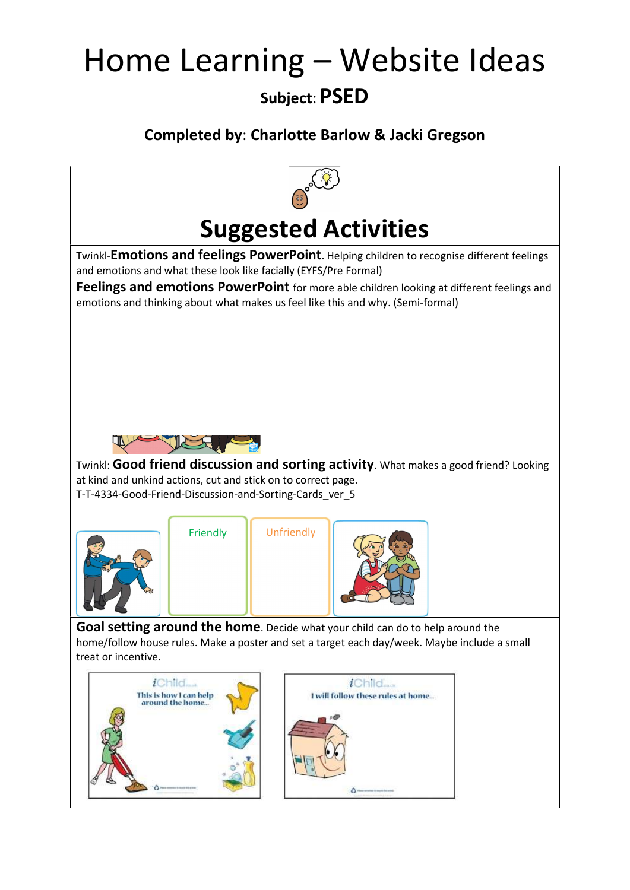# Home Learning – Website Ideas

#### Subject: PSED

#### Completed by: Charlotte Barlow & Jacki Gregson